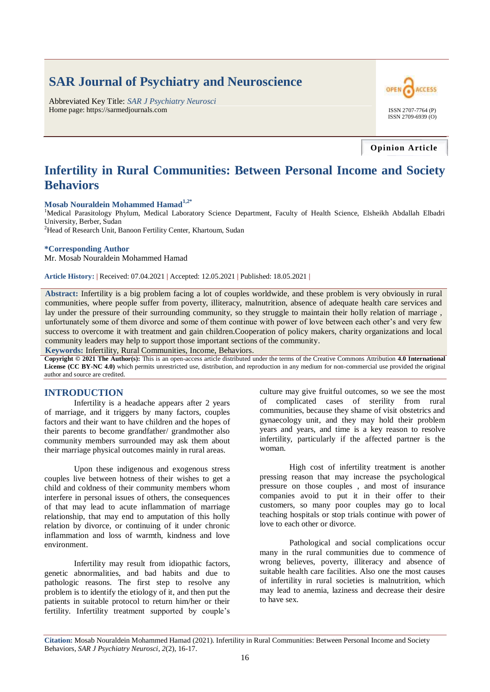# **SAR Journal of Psychiatry and Neuroscience**

Abbreviated Key Title: *SAR J Psychiatry Neurosci* Home page: https://sarmedjournals.com ISSN 2707-7764 (P)



**Opinion Article**

## **Infertility in Rural Communities: Between Personal Income and Society Behaviors**

## **Mosab Nouraldein Mohammed Hamad1,2\***

<sup>1</sup>Medical Parasitology Phylum, Medical Laboratory Science Department, Faculty of Health Science, Elsheikh Abdallah Elbadri University, Berber, Sudan

<sup>2</sup>Head of Research Unit, Banoon Fertility Center, Khartoum, Sudan

#### **\*Corresponding Author**

Mr. Mosab Nouraldein Mohammed Hamad

**Article History: |** Received: 07.04.2021 **|** Accepted: 12.05.2021 **|** Published: 18.05.2021 **|**

**Abstract:** Infertility is a big problem facing a lot of couples worldwide, and these problem is very obviously in rural communities, where people suffer from poverty, illiteracy, malnutrition, absence of adequate health care services and lay under the pressure of their surrounding community, so they struggle to maintain their holly relation of marriage , unfortunately some of them divorce and some of them continue with power of love between each other's and very few success to overcome it with treatment and gain children.Cooperation of policy makers, charity organizations and local community leaders may help to support those important sections of the community.

**Keywords:** Infertility, Rural Communities, Income, Behaviors.

**Copyright © 2021 The Author(s):** This is an open-access article distributed under the terms of the Creative Commons Attribution **4.0 International License (CC BY-NC 4.0)** which permits unrestricted use, distribution, and reproduction in any medium for non-commercial use provided the original author and source are credited.

### **INTRODUCTION**

Infertility is a headache appears after 2 years of marriage, and it triggers by many factors, couples factors and their want to have children and the hopes of their parents to become grandfather/ grandmother also community members surrounded may ask them about their marriage physical outcomes mainly in rural areas.

Upon these indigenous and exogenous stress couples live between hotness of their wishes to get a child and coldness of their community members whom interfere in personal issues of others, the consequences of that may lead to acute inflammation of marriage relationship, that may end to amputation of this holly relation by divorce, or continuing of it under chronic inflammation and loss of warmth, kindness and love environment.

Infertility may result from idiopathic factors, genetic abnormalities, and bad habits and due to pathologic reasons. The first step to resolve any problem is to identify the etiology of it, and then put the patients in suitable protocol to return him/her or their fertility. Infertility treatment supported by couple's culture may give fruitful outcomes, so we see the most of complicated cases of sterility from rural communities, because they shame of visit obstetrics and gynaecology unit, and they may hold their problem years and years, and time is a key reason to resolve infertility, particularly if the affected partner is the woman.

High cost of infertility treatment is another pressing reason that may increase the psychological pressure on those couples , and most of insurance companies avoid to put it in their offer to their customers, so many poor couples may go to local teaching hospitals or stop trials continue with power of love to each other or divorce.

Pathological and social complications occur many in the rural communities due to commence of wrong believes, poverty, illiteracy and absence of suitable health care facilities. Also one the most causes of infertility in rural societies is malnutrition, which may lead to anemia, laziness and decrease their desire to have sex.

**Citation:** Mosab Nouraldein Mohammed Hamad (2021). Infertility in Rural Communities: Between Personal Income and Society Behaviors, *SAR J Psychiatry Neurosci*, *2*(2), 16-17.